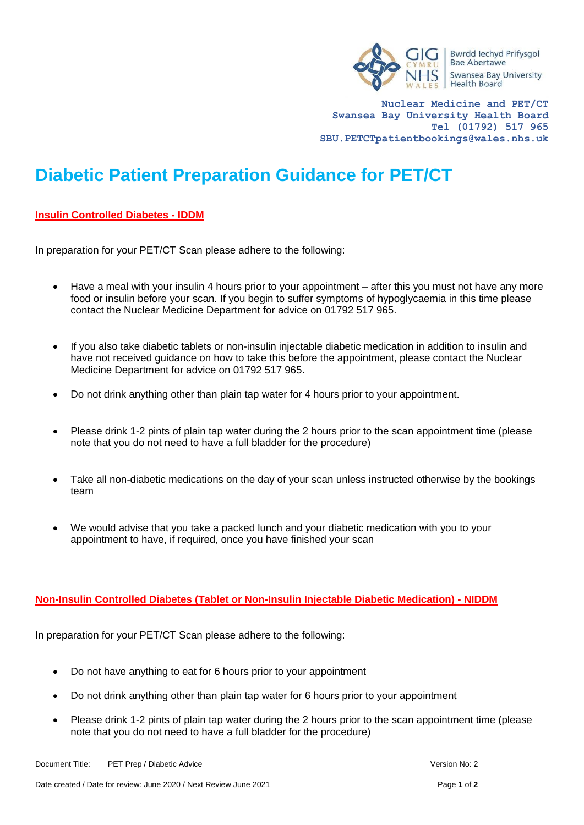

**Nuclear Medicine and PET/CT Swansea Bay University Health Board Tel (01792) 517 965 SBU.PETCTpatientbookings@wales.nhs.uk**

## **Diabetic Patient Preparation Guidance for PET/CT**

## **Insulin Controlled Diabetes - IDDM**

In preparation for your PET/CT Scan please adhere to the following:

- Have a meal with your insulin 4 hours prior to your appointment after this you must not have any more food or insulin before your scan. If you begin to suffer symptoms of hypoglycaemia in this time please contact the Nuclear Medicine Department for advice on 01792 517 965.
- If you also take diabetic tablets or non-insulin injectable diabetic medication in addition to insulin and have not received guidance on how to take this before the appointment, please contact the Nuclear Medicine Department for advice on 01792 517 965.
- Do not drink anything other than plain tap water for 4 hours prior to your appointment.
- Please drink 1-2 pints of plain tap water during the 2 hours prior to the scan appointment time (please note that you do not need to have a full bladder for the procedure)
- Take all non-diabetic medications on the day of your scan unless instructed otherwise by the bookings team
- We would advise that you take a packed lunch and your diabetic medication with you to your appointment to have, if required, once you have finished your scan

## **Non-Insulin Controlled Diabetes (Tablet or Non-Insulin Injectable Diabetic Medication) - NIDDM**

In preparation for your PET/CT Scan please adhere to the following:

- Do not have anything to eat for 6 hours prior to your appointment
- Do not drink anything other than plain tap water for 6 hours prior to your appointment
- Please drink 1-2 pints of plain tap water during the 2 hours prior to the scan appointment time (please note that you do not need to have a full bladder for the procedure)